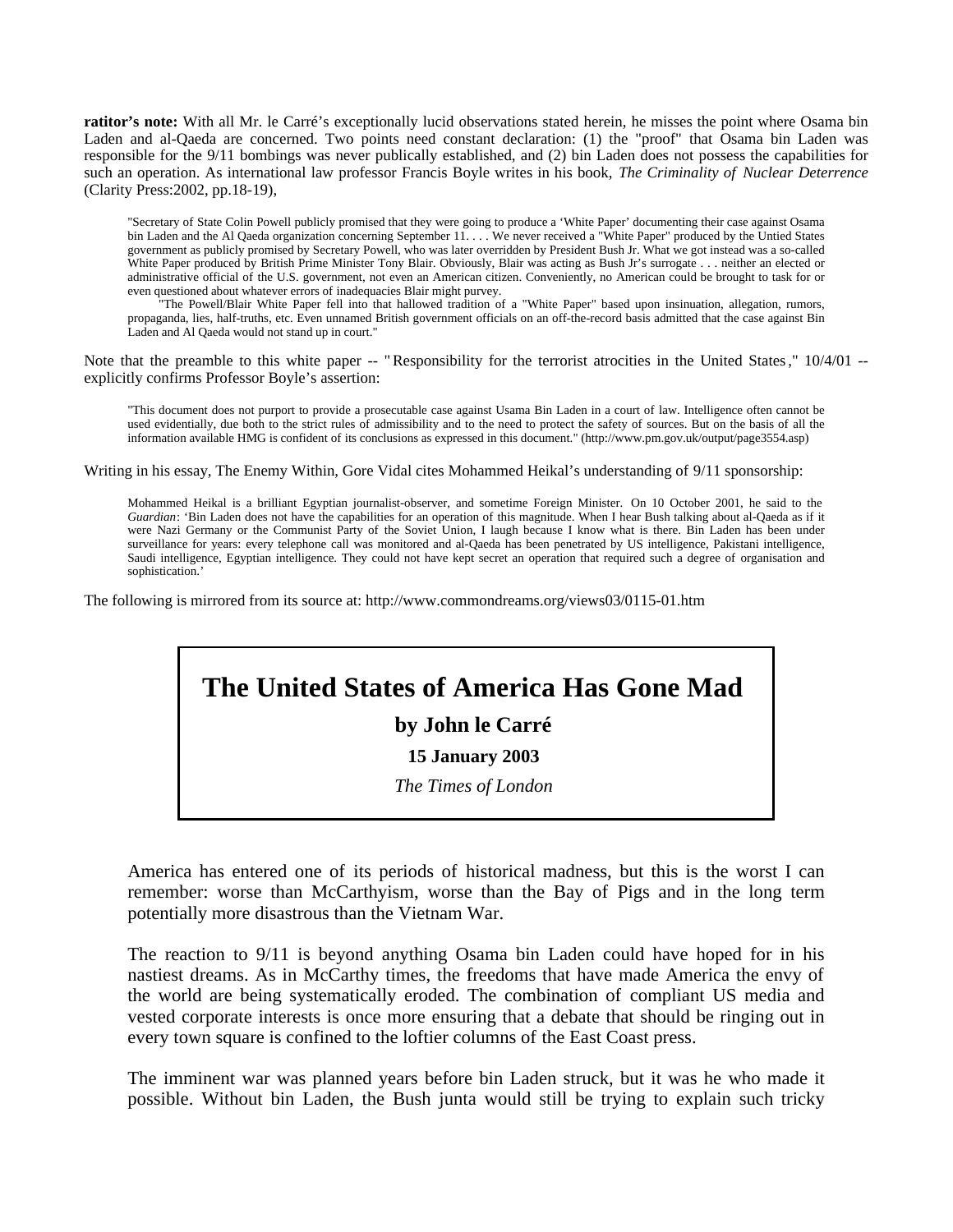**ratitor's note:** With all Mr. le Carré's exceptionally lucid observations stated herein, he misses the point where Osama bin Laden and al-Qaeda are concerned. Two points need constant declaration: (1) the "proof" that Osama bin Laden was responsible for the 9/11 bombings was never publically established, and (2) bin Laden does not possess the capabilities for such an operation. As international law professor Francis Boyle writes in his book, *The Criminality of Nuclear Deterrence* (Clarity Press:2002, pp.18-19),

"Secretary of State Colin Powell publicly promised that they were going to produce a 'White Paper' documenting their case against Osama bin Laden and the Al Qaeda organization concerning September 11. . . . We never received a "White Paper" produced by the Untied States government as publicly promised by Secretary Powell, who was later overridden by President Bush Jr. What we got instead was a so-called White Paper produced by British Prime Minister Tony Blair. Obviously, Blair was acting as Bush Jr's surrogate . . . neither an elected or administrative official of the U.S. government, not even an American citizen. Conveniently, no American could be brought to task for or even questioned about whatever errors of inadequacies Blair might purvey.

The Powell/Blair White Paper fell into that hallowed tradition of a "White Paper" based upon insinuation, allegation, rumors, propaganda, lies, half-truths, etc. Even unnamed British government officials on an off-the-record basis admitted that the case against Bin Laden and Al Qaeda would not stand up in court."

Note that the preamble to this white paper -- "Responsibility for the terrorist atrocities in the United States,"  $10/4/01$  -explicitly confirms Professor Boyle's assertion:

"This document does not purport to provide a prosecutable case against Usama Bin Laden in a court of law. Intelligence often cannot be used evidentially, due both to the strict rules of admissibility and to the need to protect the safety of sources. But on the basis of all the information available HMG is confident of its conclusions as expressed in this document." (http://www.pm.gov.uk/output/page3554.asp)

Writing in his essay, The Enemy Within, Gore Vidal cites Mohammed Heikal's understanding of 9/11 sponsorship:

Mohammed Heikal is a brilliant Egyptian journalist-observer, and sometime Foreign Minister. On 10 October 2001, he said to the *Guardian*: 'Bin Laden does not have the capabilities for an operation of this magnitude. When I hear Bush talking about al-Qaeda as if it were Nazi Germany or the Communist Party of the Soviet Union, I laugh because I know what is there. Bin Laden has been under surveillance for years: every telephone call was monitored and al-Qaeda has been penetrated by US intelligence, Pakistani intelligence, Saudi intelligence, Egyptian intelligence. They could not have kept secret an operation that required such a degree of organisation and sophistication.'

The following is mirrored from its source at: http://www.commondreams.org/views03/0115-01.htm

## **The United States of America Has Gone Mad**

**by John le Carré** 

**15 January 2003** 

*The Times of London* 

America has entered one of its periods of historical madness, but this is the worst I can remember: worse than McCarthyism, worse than the Bay of Pigs and in the long term potentially more disastrous than the Vietnam War.

The reaction to 9/11 is beyond anything Osama bin Laden could have hoped for in his nastiest dreams. As in McCarthy times, the freedoms that have made America the envy of the world are being systematically eroded. The combination of compliant US media and vested corporate interests is once more ensuring that a debate that should be ringing out in every town square is confined to the loftier columns of the East Coast press.

The imminent war was planned years before bin Laden struck, but it was he who made it possible. Without bin Laden, the Bush junta would still be trying to explain such tricky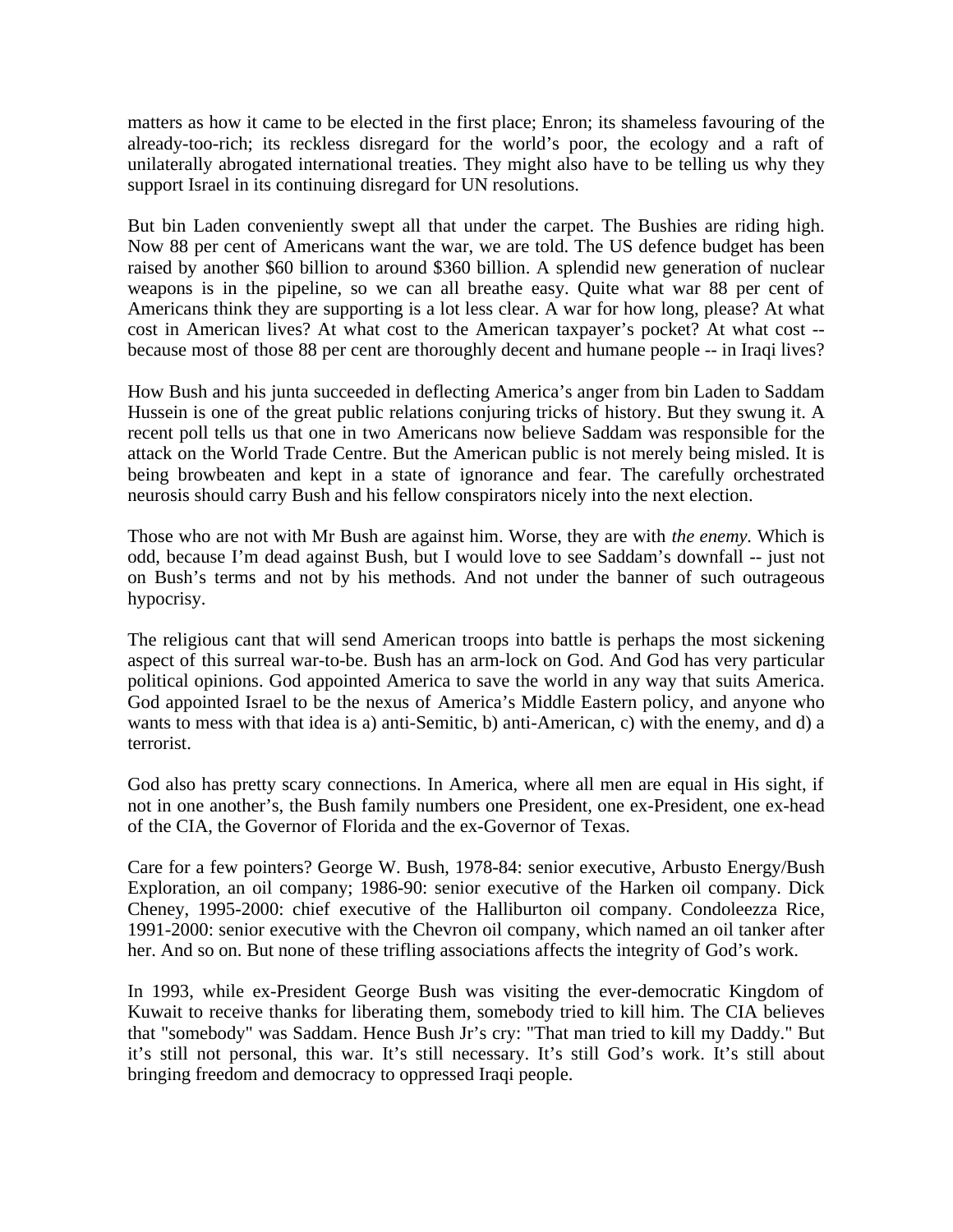matters as how it came to be elected in the first place; Enron; its shameless favouring of the already-too-rich; its reckless disregard for the world's poor, the ecology and a raft of unilaterally abrogated international treaties. They might also have to be telling us why they support Israel in its continuing disregard for UN resolutions.

But bin Laden conveniently swept all that under the carpet. The Bushies are riding high. Now 88 per cent of Americans want the war, we are told. The US defence budget has been raised by another \$60 billion to around \$360 billion. A splendid new generation of nuclear weapons is in the pipeline, so we can all breathe easy. Quite what war 88 per cent of Americans think they are supporting is a lot less clear. A war for how long, please? At what cost in American lives? At what cost to the American taxpayer's pocket? At what cost - because most of those 88 per cent are thoroughly decent and humane people -- in Iraqi lives?

How Bush and his junta succeeded in deflecting America's anger from bin Laden to Saddam Hussein is one of the great public relations conjuring tricks of history. But they swung it. A recent poll tells us that one in two Americans now believe Saddam was responsible for the attack on the World Trade Centre. But the American public is not merely being misled. It is being browbeaten and kept in a state of ignorance and fear. The carefully orchestrated neurosis should carry Bush and his fellow conspirators nicely into the next election.

Those who are not with Mr Bush are against him. Worse, they are with *the enemy.* Which is odd, because I'm dead against Bush, but I would love to see Saddam's downfall -- just not on Bush's terms and not by his methods. And not under the banner of such outrageous hypocrisy.

The religious cant that will send American troops into battle is perhaps the most sickening aspect of this surreal war-to-be. Bush has an arm-lock on God. And God has very particular political opinions. God appointed America to save the world in any way that suits America. God appointed Israel to be the nexus of America's Middle Eastern policy, and anyone who wants to mess with that idea is a) anti-Semitic, b) anti-American, c) with the enemy, and d) a terrorist.

God also has pretty scary connections. In America, where all men are equal in His sight, if not in one another's, the Bush family numbers one President, one ex-President, one ex-head of the CIA, the Governor of Florida and the ex-Governor of Texas.

Care for a few pointers? George W. Bush, 1978-84: senior executive, Arbusto Energy/Bush Exploration, an oil company; 1986-90: senior executive of the Harken oil company. Dick Cheney, 1995-2000: chief executive of the Halliburton oil company. Condoleezza Rice, 1991-2000: senior executive with the Chevron oil company, which named an oil tanker after her. And so on. But none of these trifling associations affects the integrity of God's work.

In 1993, while ex-President George Bush was visiting the ever-democratic Kingdom of Kuwait to receive thanks for liberating them, somebody tried to kill him. The CIA believes that "somebody" was Saddam. Hence Bush Jr's cry: "That man tried to kill my Daddy." But it's still not personal, this war. It's still necessary. It's still God's work. It's still about bringing freedom and democracy to oppressed Iraqi people.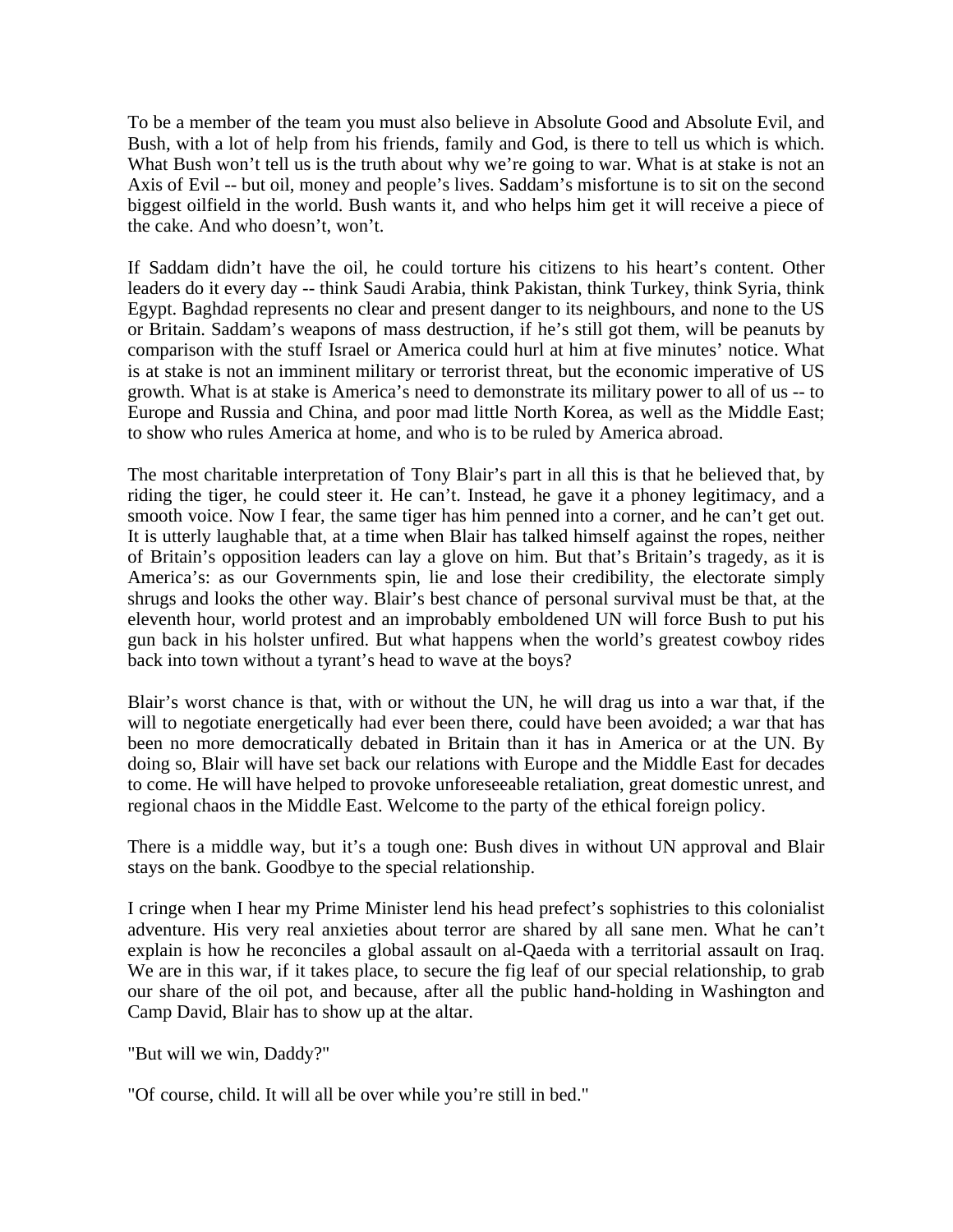To be a member of the team you must also believe in Absolute Good and Absolute Evil, and Bush, with a lot of help from his friends, family and God, is there to tell us which is which. What Bush won't tell us is the truth about why we're going to war. What is at stake is not an Axis of Evil -- but oil, money and people's lives. Saddam's misfortune is to sit on the second biggest oilfield in the world. Bush wants it, and who helps him get it will receive a piece of the cake. And who doesn't, won't.

If Saddam didn't have the oil, he could torture his citizens to his heart's content. Other leaders do it every day -- think Saudi Arabia, think Pakistan, think Turkey, think Syria, think Egypt. Baghdad represents no clear and present danger to its neighbours, and none to the US or Britain. Saddam's weapons of mass destruction, if he's still got them, will be peanuts by comparison with the stuff Israel or America could hurl at him at five minutes' notice. What is at stake is not an imminent military or terrorist threat, but the economic imperative of US growth. What is at stake is America's need to demonstrate its military power to all of us -- to Europe and Russia and China, and poor mad little North Korea, as well as the Middle East; to show who rules America at home, and who is to be ruled by America abroad.

The most charitable interpretation of Tony Blair's part in all this is that he believed that, by riding the tiger, he could steer it. He can't. Instead, he gave it a phoney legitimacy, and a smooth voice. Now I fear, the same tiger has him penned into a corner, and he can't get out. It is utterly laughable that, at a time when Blair has talked himself against the ropes, neither of Britain's opposition leaders can lay a glove on him. But that's Britain's tragedy, as it is America's: as our Governments spin, lie and lose their credibility, the electorate simply shrugs and looks the other way. Blair's best chance of personal survival must be that, at the eleventh hour, world protest and an improbably emboldened UN will force Bush to put his gun back in his holster unfired. But what happens when the world's greatest cowboy rides back into town without a tyrant's head to wave at the boys?

Blair's worst chance is that, with or without the UN, he will drag us into a war that, if the will to negotiate energetically had ever been there, could have been avoided; a war that has been no more democratically debated in Britain than it has in America or at the UN. By doing so, Blair will have set back our relations with Europe and the Middle East for decades to come. He will have helped to provoke unforeseeable retaliation, great domestic unrest, and regional chaos in the Middle East. Welcome to the party of the ethical foreign policy.

There is a middle way, but it's a tough one: Bush dives in without UN approval and Blair stays on the bank. Goodbye to the special relationship.

I cringe when I hear my Prime Minister lend his head prefect's sophistries to this colonialist adventure. His very real anxieties about terror are shared by all sane men. What he can't explain is how he reconciles a global assault on al-Qaeda with a territorial assault on Iraq. We are in this war, if it takes place, to secure the fig leaf of our special relationship, to grab our share of the oil pot, and because, after all the public hand-holding in Washington and Camp David, Blair has to show up at the altar.

"But will we win, Daddy?"

"Of course, child. It will all be over while you're still in bed."